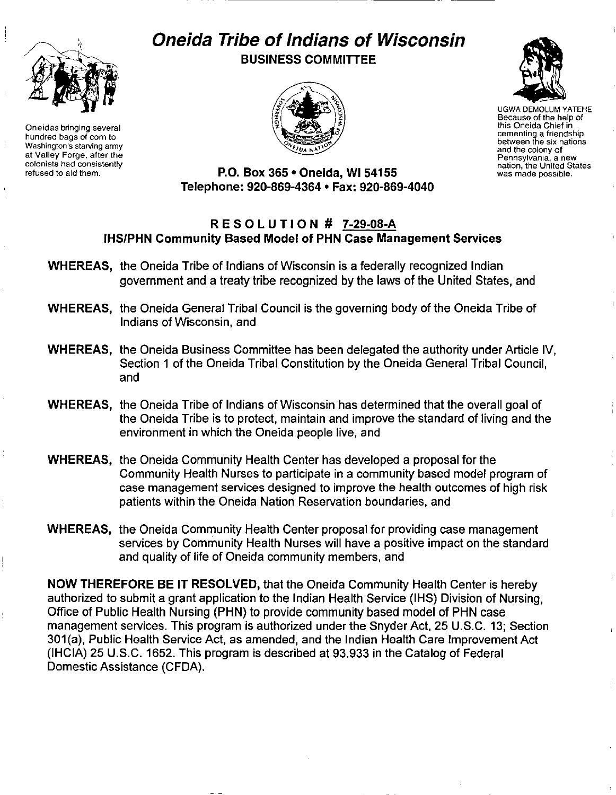

Oneidas bringing several hundred bags of corn to Washington's starving army at Valley Forge. after the colonists had consistently refused to aid them.

## Oneida Tribe of Indians of Wisconsin BUSINESS COMMITTEE



UGWA DEMOLUM YATEHE Because of the help of this Oneida Chief in cementing a friendship between the six nations and the colony of Pennsylvania, a new nation, the United States was made possible.

P.O. Box 365 . Oneida, WI 54155 Telephone: 920-869-4364 • Fax: 920-869-4040

## RES 0 L UTI 0 N # 7-29-08-A IHS/PHN Community Based Model of PHN Case Management Services

- WHEREAS, the Oneida Tribe of Indians of Wisconsin is a federally recognized Indian government and a treaty tribe recognized by the laws of the United States, and
- WHEREAS, the Oneida General Tribal Council is the governing body of the Oneida Tribe of Indians of Wisconsin, and
- WHEREAS, the Oneida Business Committee has been delegated the authority under Article IV, Section 1 of the Oneida Tribal Constitution by the Oneida General Tribal Council, and
- WHEREAS, the Oneida Tribe of Indians of Wisconsin has determined that the overall goal of the Oneida Tribe is to protect, maintain and improve the standard of living and the environment in which the Oneida people live, and
- WHEREAS, the Oneida Community Health Center has developed a proposal for the Community Health Nurses to participate in a community based model program of case management services designed to improve the health outcomes of high risk patients within the Oneida Nation Reservation boundaries, and
- WHEREAS, the Oneida Community Health Center proposal for providing case management services by Community Health Nurses will have a positive impact on the standard and quality of life of Oneida community members, and

NOW THEREFORE BE IT RESOLVED, that the Oneida Community Health Center is hereby authorized to submit a grant application to the Indian Health Service (IHS) Division of Nursing, Office of Public Health Nursing (PHN) to provide community based model of PHN case management services. This program is authorized under the Snyder Act, 25 U.S.C. 13; Section 301(a), Public Health Service Act, as amended, and the Indian Health Care Improvement Act (IHCIA) 25 U.S.C. 1652. This program is described at 93.933 in the Catalog of Federal Domestic Assistance (CFDA).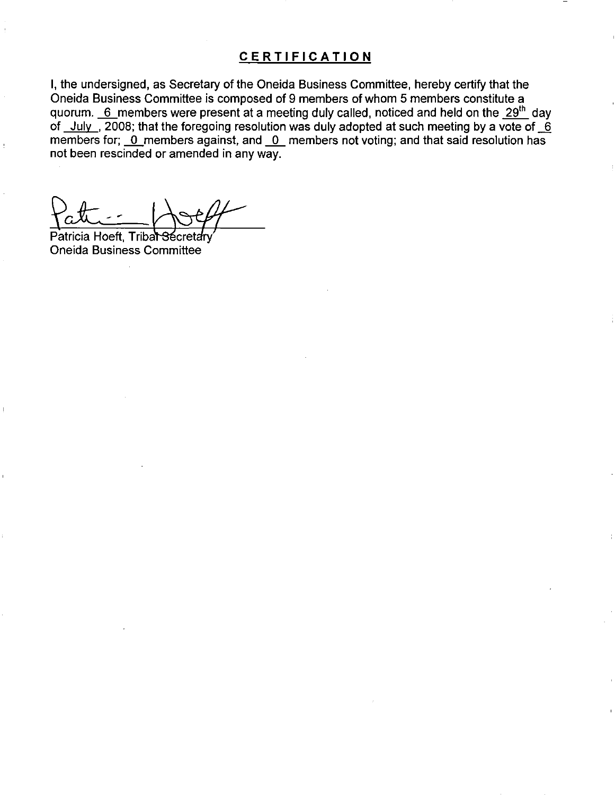## **CERTIFICATION**

I, the undersigned, as Secretary of the Oneida Business Committee, hereby certify that the Oneida Business Committee is composed of 9 members of whom 5 members constitute a quorum.  $6$  members were present at a meeting duly called, noticed and held on the  $29<sup>th</sup>$  day of July , 2008; that the foregoing resolution was duly adopted at such meeting by a vote of  $-6$ members for; 0\_members against, and 0\_ members not voting; and that said resolution has not been rescinded or amended in any way.

Patricia Hoeft, Tribal Oneida Business Committee